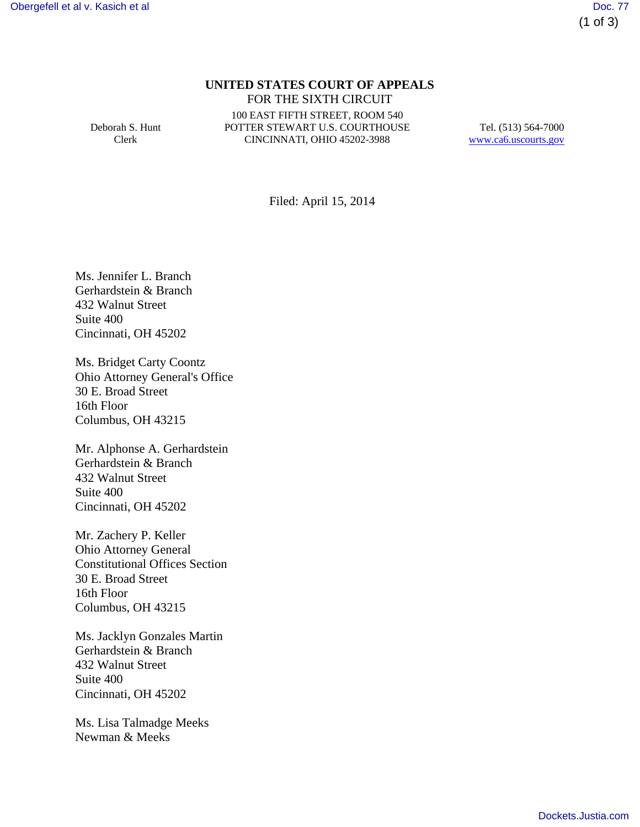# **UNITED STATES COURT OF APPEALS** FOR THE SIXTH CIRCUIT

Deborah S. Hunt Clerk

100 EAST FIFTH STREET, ROOM 540 POTTER STEWART U.S. COURTHOUSE CINCINNATI, OHIO 45202-3988

Tel. (513) 564-7000 www.ca6.uscourts.gov

Filed: April 15, 2014

Ms. Jennifer L. Branch Gerhardstein & Branch 432 Walnut Street Suite 400 Cincinnati, OH 45202

Ms. Bridget Carty Coontz Ohio Attorney General's Office 30 E. Broad Street 16th Floor Columbus, OH 43215

Mr. Alphonse A. Gerhardstein Gerhardstein & Branch 432 Walnut Street Suite 400 Cincinnati, OH 45202

Mr. Zachery P. Keller Ohio Attorney General Constitutional Offices Section 30 E. Broad Street 16th Floor Columbus, OH 43215

Ms. Jacklyn Gonzales Martin Gerhardstein & Branch 432 Walnut Street Suite 400 Cincinnati, OH 45202

Ms. Lisa Talmadge Meeks Newman & Meeks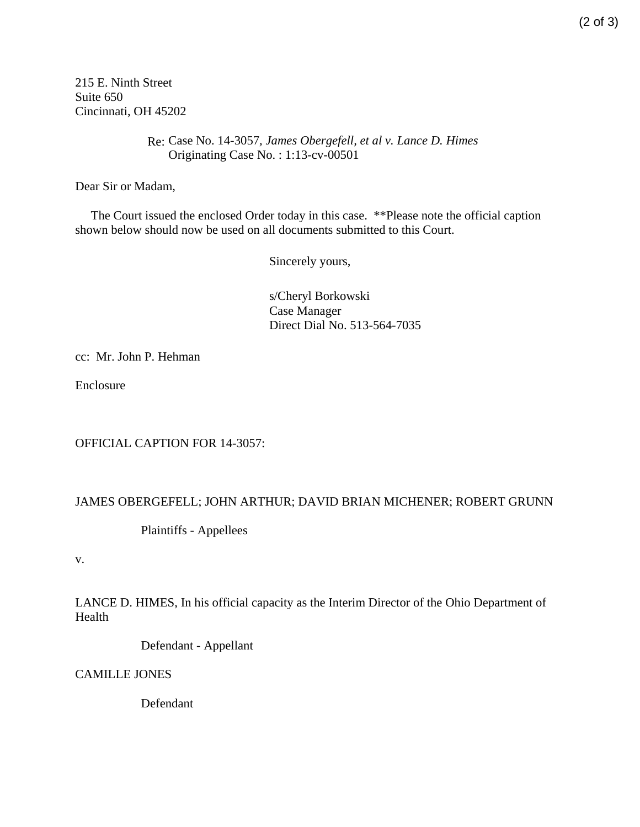215 E. Ninth Street Suite 650 Cincinnati, OH 45202

> Re: Case No. 14-3057*, James Obergefell, et al v. Lance D. Himes* Originating Case No. : 1:13-cv-00501

Dear Sir or Madam,

 The Court issued the enclosed Order today in this case. \*\*Please note the official caption shown below should now be used on all documents submitted to this Court.

Sincerely yours,

s/Cheryl Borkowski Case Manager Direct Dial No. 513-564-7035

cc: Mr. John P. Hehman

Enclosure

OFFICIAL CAPTION FOR 14-3057:

#### JAMES OBERGEFELL; JOHN ARTHUR; DAVID BRIAN MICHENER; ROBERT GRUNN

Plaintiffs - Appellees

v.

LANCE D. HIMES, In his official capacity as the Interim Director of the Ohio Department of Health

Defendant - Appellant

CAMILLE JONES

Defendant